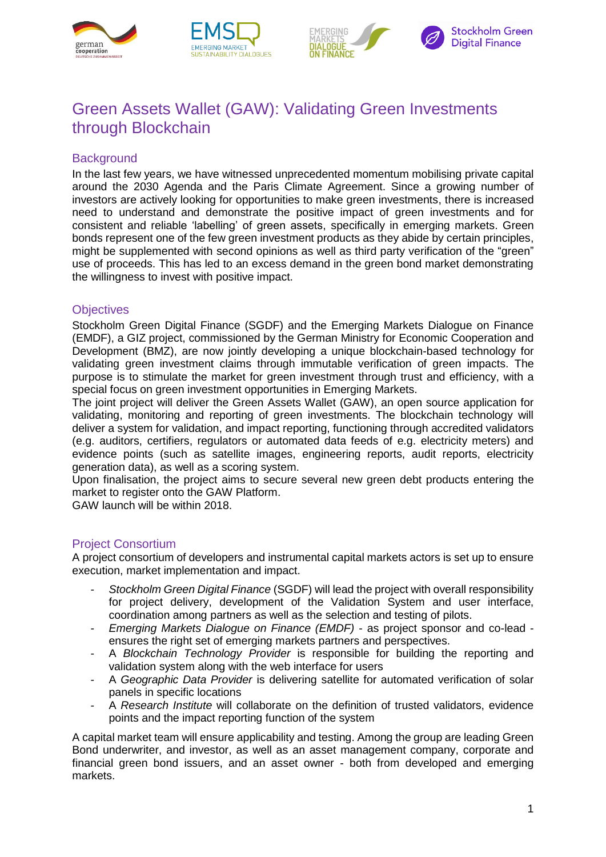







# Green Assets Wallet (GAW): Validating Green Investments through Blockchain

# **Background**

In the last few years, we have witnessed unprecedented momentum mobilising private capital around the 2030 Agenda and the Paris Climate Agreement. Since a growing number of investors are actively looking for opportunities to make green investments, there is increased need to understand and demonstrate the positive impact of green investments and for consistent and reliable 'labelling' of green assets, specifically in emerging markets. Green bonds represent one of the few green investment products as they abide by certain principles, might be supplemented with second opinions as well as third party verification of the "green" use of proceeds. This has led to an excess demand in the green bond market demonstrating the willingness to invest with positive impact.

### **Objectives**

Stockholm Green Digital Finance (SGDF) and the Emerging Markets Dialogue on Finance (EMDF), a GIZ project, commissioned by the German Ministry for Economic Cooperation and Development (BMZ), are now jointly developing a unique blockchain-based technology for validating green investment claims through immutable verification of green impacts. The purpose is to stimulate the market for green investment through trust and efficiency, with a special focus on green investment opportunities in Emerging Markets.

The joint project will deliver the Green Assets Wallet (GAW), an open source application for validating, monitoring and reporting of green investments. The blockchain technology will deliver a system for validation, and impact reporting, functioning through accredited validators (e.g. auditors, certifiers, regulators or automated data feeds of e.g. electricity meters) and evidence points (such as satellite images, engineering reports, audit reports, electricity generation data), as well as a scoring system.

Upon finalisation, the project aims to secure several new green debt products entering the market to register onto the GAW Platform.

GAW launch will be within 2018.

# Project Consortium

A project consortium of developers and instrumental capital markets actors is set up to ensure execution, market implementation and impact.

- *- Stockholm Green Digital Finance* (SGDF) will lead the project with overall responsibility for project delivery, development of the Validation System and user interface, coordination among partners as well as the selection and testing of pilots.
- *- Emerging Markets Dialogue on Finance (EMDF)*  as project sponsor and co-lead ensures the right set of emerging markets partners and perspectives.
- *-* A *Blockchain Technology Provider* is responsible for building the reporting and validation system along with the web interface for users
- *-* A *Geographic Data Provider* is delivering satellite for automated verification of solar panels in specific locations
- *-* A *Research Institute* will collaborate on the definition of trusted validators, evidence points and the impact reporting function of the system

A capital market team will ensure applicability and testing. Among the group are leading Green Bond underwriter, and investor, as well as an asset management company, corporate and financial green bond issuers, and an asset owner - both from developed and emerging markets.